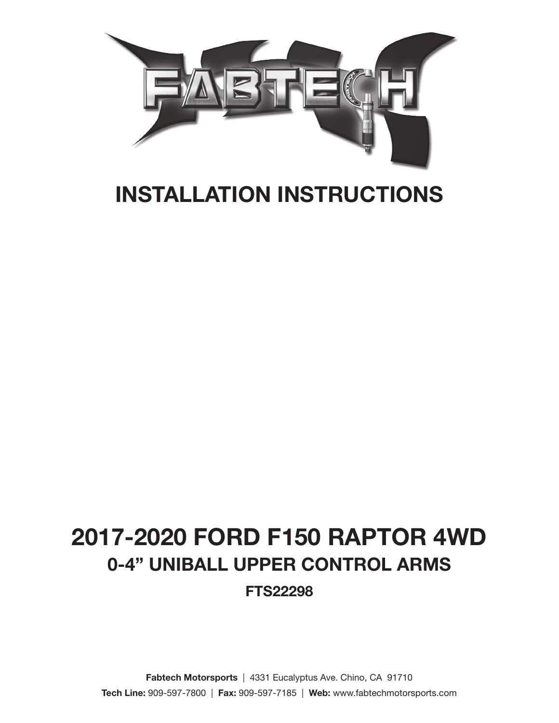

# INSTALLATION INSTRUCTIONS

# 2017-2020 FORD F150 RAPTOR 4WD 0-4" UNIBALL UPPER CONTROL ARMS FTS22298

Fabtech Motorsports | 4331 Eucalyptus Ave. Chino, CA 91710 Tech Line: 909-597-7800 | Fax: 909-597-7185 | Web: www.fabtechmotorsports.com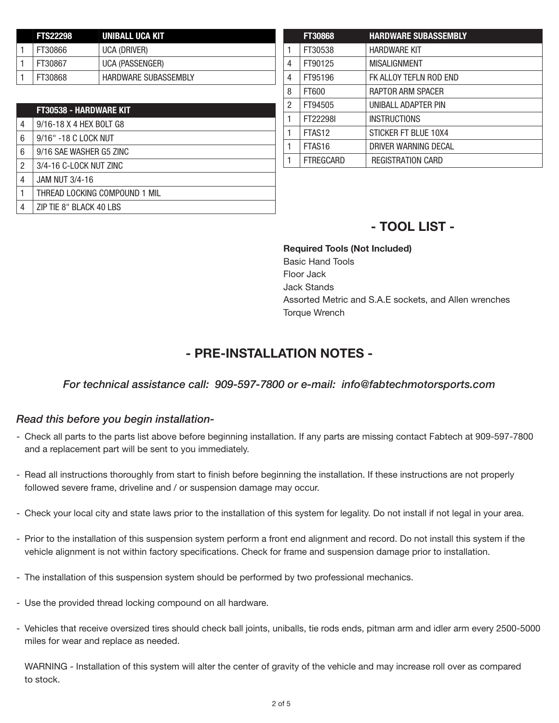| <b>FTS22298</b> | UNIBALL UCA KIT             |
|-----------------|-----------------------------|
| FT30866         | UCA (DRIVER)                |
| FT30867         | UCA (PASSENGER)             |
| FT30868         | <b>HARDWARE SUBASSEMBLY</b> |

|   | <b>FT30538 - HARDWARE KIT</b> |
|---|-------------------------------|
| 4 | 9/16-18 X 4 HEX BOLT G8       |
| 6 | 9/16" -18 C LOCK NUT          |
| 6 | 9/16 SAE WASHER G5 ZINC       |
| 2 | 3/4-16 C-LOCK NUT ZINC        |
| 4 | <b>JAM NUT 3/4-16</b>         |
|   | THREAD LOCKING COMPOUND 1 MIL |
| 4 | ZIP TIE 8" BLACK 40 LBS       |

|                | <b>FT30868</b>     | <b>HARDWARE SUBASSEMBLY</b> |
|----------------|--------------------|-----------------------------|
| 1              | FT30538            | <b>HARDWARE KIT</b>         |
| 4              | FT90125            | <b>MISALIGNMENT</b>         |
| $\overline{4}$ | FT95196            | FK ALLOY TEFLN ROD END      |
| 8              | FT600              | RAPTOR ARM SPACER           |
| $\overline{2}$ | FT94505            | UNIBALL ADAPTER PIN         |
| $\mathbf{1}$   | FT22298I           | <b>INSTRUCTIONS</b>         |
| $\mathbf{1}$   | FTAS <sub>12</sub> | STICKER FT BLUE 10X4        |
| $\mathbf{1}$   | FTAS <sub>16</sub> | DRIVER WARNING DECAL        |
|                | <b>FTREGCARD</b>   | <b>REGISTRATION CARD</b>    |
|                |                    |                             |

## - TOOL LIST -

Required Tools (Not Included) Basic Hand Tools Floor Jack Jack Stands Assorted Metric and S.A.E sockets, and Allen wrenches Torque Wrench

## - PRE-INSTALLATION NOTES -

#### *For technical assistance call: 909-597-7800 or e-mail: info@fabtechmotorsports.com*

#### *Read this before you begin installation-*

- Check all parts to the parts list above before beginning installation. If any parts are missing contact Fabtech at 909-597-7800 and a replacement part will be sent to you immediately.
- Read all instructions thoroughly from start to finish before beginning the installation. If these instructions are not properly followed severe frame, driveline and / or suspension damage may occur.
- Check your local city and state laws prior to the installation of this system for legality. Do not install if not legal in your area.
- Prior to the installation of this suspension system perform a front end alignment and record. Do not install this system if the vehicle alignment is not within factory specifications. Check for frame and suspension damage prior to installation.
- The installation of this suspension system should be performed by two professional mechanics.
- Use the provided thread locking compound on all hardware.
- Vehicles that receive oversized tires should check ball joints, uniballs, tie rods ends, pitman arm and idler arm every 2500-5000 miles for wear and replace as needed.

WARNING - Installation of this system will alter the center of gravity of the vehicle and may increase roll over as compared to stock.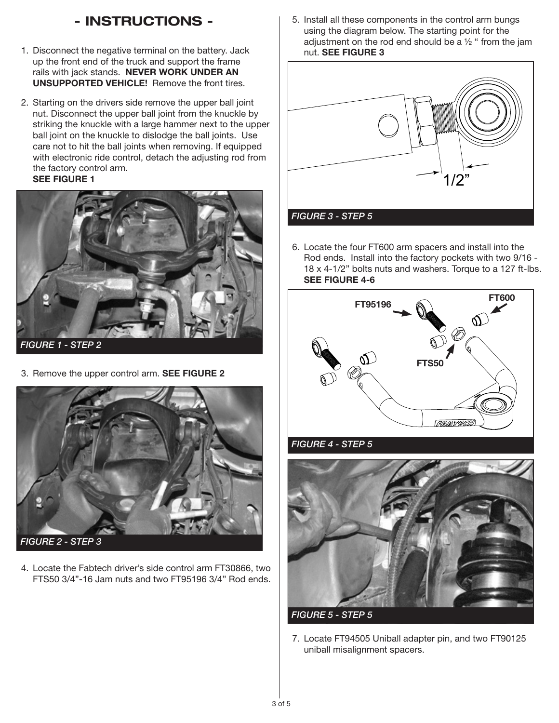# - INSTRUCTIONS -

- 1. Disconnect the negative terminal on the battery. Jack up the front end of the truck and support the frame rails with jack stands. NEVER WORK UNDER AN UNSUPPORTED VEHICLE! Remove the front tires.
- 2. Starting on the drivers side remove the upper ball joint nut. Disconnect the upper ball joint from the knuckle by striking the knuckle with a large hammer next to the upper ball joint on the knuckle to dislodge the ball joints. Use care not to hit the ball joints when removing. If equipped with electronic ride control, detach the adjusting rod from the factory control arm. SEE FIGURE 1



*FIGURE 1 - STEP 2*

3. Remove the upper control arm. SEE FIGURE 2



4. Locate the Fabtech driver's side control arm FT30866, two FTS50 3/4"-16 Jam nuts and two FT95196 3/4" Rod ends.

5. Install all these components in the control arm bungs using the diagram below. The starting point for the adjustment on the rod end should be a  $1/2$  " from the jam nut. SEE FIGURE 3



6. Locate the four FT600 arm spacers and install into the Rod ends. Install into the factory pockets with two 9/16 - 18 x 4-1/2" bolts nuts and washers. Torque to a 127 ft-lbs. SEE FIGURE 4-6



*FIGURE 4 - STEP 5*



7. Locate FT94505 Uniball adapter pin, and two FT90125 uniball misalignment spacers.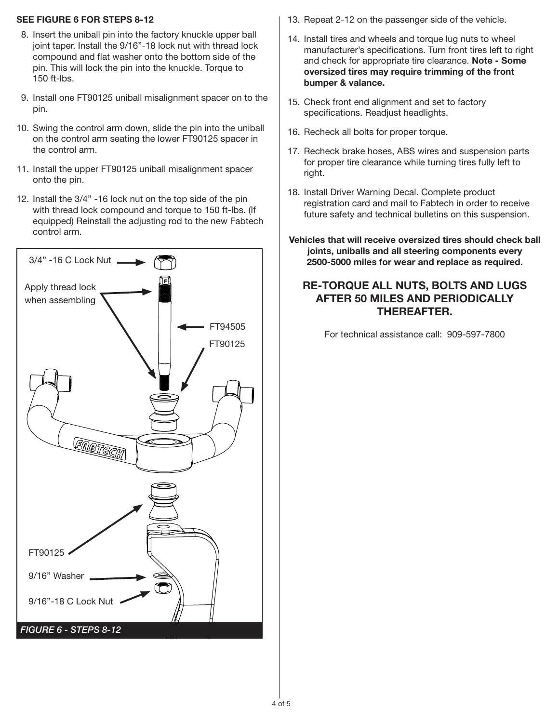#### SEE FIGURE 6 FOR STEPS 8-12

- 8. Insert the uniball pin into the factory knuckle upper ball joint taper. Install the 9/16"-18 lock nut with thread lock compound and flat washer onto the bottom side of the pin. This will lock the pin into the knuckle. Torque to 150 ft-lbs.
- 9. Install one FT90125 uniball misalignment spacer on to the pin.
- 10. Swing the control arm down, slide the pin into the uniball on the control arm seating the lower FT90125 spacer in the control arm.
- 11. Install the upper FT90125 uniball misalignment spacer onto the pin.
- 12. Install the 3/4" -16 lock nut on the top side of the pin with thread lock compound and torque to 150 ft-lbs. (If equipped) Reinstall the adjusting rod to the new Fabtech control arm.



- 13. Repeat 2-12 on the passenger side of the vehicle.
- 14. Install tires and wheels and torque lug nuts to wheel manufacturer's specifications. Turn front tires left to right and check for appropriate tire clearance. Note - Some oversized tires may require trimming of the front bumper & valance.
- 15. Check front end alignment and set to factory specifications. Readjust headlights.
- 16. Recheck all bolts for proper torque.
- 17. Recheck brake hoses, ABS wires and suspension parts for proper tire clearance while turning tires fully left to right.
- 18. Install Driver Warning Decal. Complete product registration card and mail to Fabtech in order to receive future safety and technical bulletins on this suspension.
- Vehicles that will receive oversized tires should check ball joints, uniballs and all steering components every 2500-5000 miles for wear and replace as required.

#### RE-TORQUE ALL NUTS, BOLTS AND LUGS AFTER 50 MILES AND PERIODICALLY THEREAFTER.

For technical assistance call: 909-597-7800